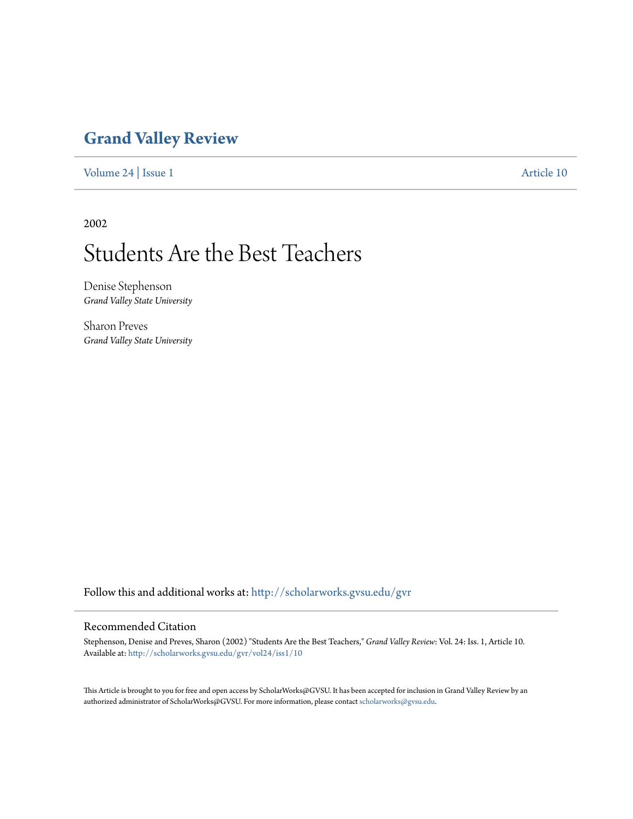### **[Grand Valley Review](http://scholarworks.gvsu.edu/gvr?utm_source=scholarworks.gvsu.edu%2Fgvr%2Fvol24%2Fiss1%2F10&utm_medium=PDF&utm_campaign=PDFCoverPages)**

[Volume 24](http://scholarworks.gvsu.edu/gvr/vol24?utm_source=scholarworks.gvsu.edu%2Fgvr%2Fvol24%2Fiss1%2F10&utm_medium=PDF&utm_campaign=PDFCoverPages) | [Issue 1](http://scholarworks.gvsu.edu/gvr/vol24/iss1?utm_source=scholarworks.gvsu.edu%2Fgvr%2Fvol24%2Fiss1%2F10&utm_medium=PDF&utm_campaign=PDFCoverPages) [Article 10](http://scholarworks.gvsu.edu/gvr/vol24/iss1/10?utm_source=scholarworks.gvsu.edu%2Fgvr%2Fvol24%2Fiss1%2F10&utm_medium=PDF&utm_campaign=PDFCoverPages)

2002

# Students Are the Best Teachers

Denise Stephenson *Grand Valley State University*

Sharon Preves *Grand Valley State University*

Follow this and additional works at: [http://scholarworks.gvsu.edu/gvr](http://scholarworks.gvsu.edu/gvr?utm_source=scholarworks.gvsu.edu%2Fgvr%2Fvol24%2Fiss1%2F10&utm_medium=PDF&utm_campaign=PDFCoverPages)

### Recommended Citation

Stephenson, Denise and Preves, Sharon (2002) "Students Are the Best Teachers," *Grand Valley Review*: Vol. 24: Iss. 1, Article 10. Available at: [http://scholarworks.gvsu.edu/gvr/vol24/iss1/10](http://scholarworks.gvsu.edu/gvr/vol24/iss1/10?utm_source=scholarworks.gvsu.edu%2Fgvr%2Fvol24%2Fiss1%2F10&utm_medium=PDF&utm_campaign=PDFCoverPages)

This Article is brought to you for free and open access by ScholarWorks@GVSU. It has been accepted for inclusion in Grand Valley Review by an authorized administrator of ScholarWorks@GVSU. For more information, please contact [scholarworks@gvsu.edu.](mailto:scholarworks@gvsu.edu)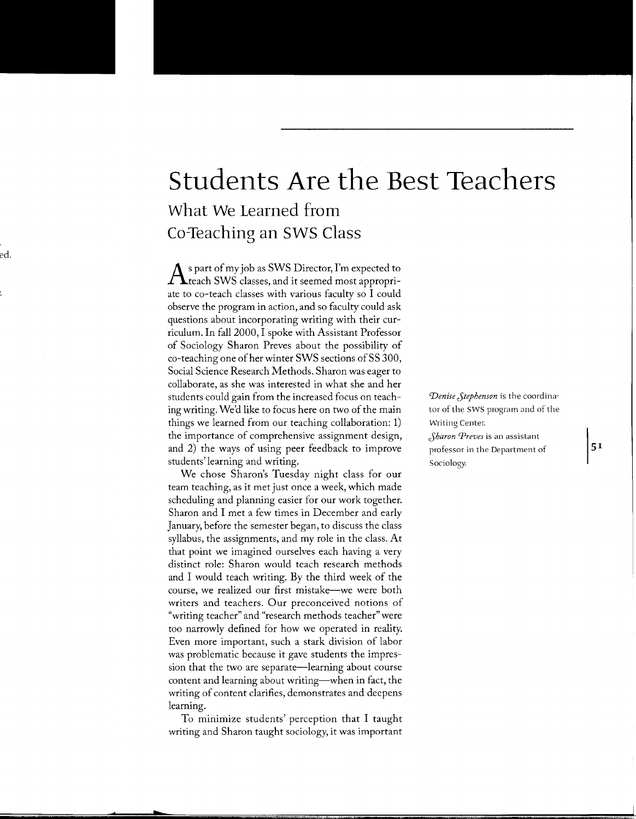## **Students Are the Best Teachers What We Learned from Co-Teaching an SWS Class**

 $\bigwedge$ s part of my job as SWS Director, I'm expected to<br>teach SWS classes, and it seemed most appropriate to co-teach classes with various faculty so I could observe the program in action, and so faculty could ask questions about incorporating writing with their curriculum. In fall 2000, I spoke with Assistant Professor of Sociology Sharon Preves about the possibility of co-teaching one of her winter SWS sections of SS 300, Social Science Research Methods. Sharon was eager to collaborate, as she was interested in what she and her students could gain from the increased focus on teaching writing. We'd like to focus here on two of the main things we learned from our teaching collaboration: 1) the importance of comprehensive assignment design, and 2) the ways of using peer feedback to improve students' learning and writing.

We chose Sharon's Tuesday night class for our team teaching, as it met just once a week, which made scheduling and planning easier for our work together. Sharon and I met a few times in December and early January, before the semester began, to discuss the class syllabus, the assignments, and my role in the class. At that point we imagined ourselves each having a very distinct role: Sharon would teach research methods and I would teach writing. By the third week of the course, we realized our first mistake—we were both writers and teachers. Our preconceived notions of "writing teacher" and "research methods teacher" were too narrowly defined for how we operated in reality. Even more important, such a stark division of labor was problematic because it gave students the impression that the two are separate—learning about course content and learning about writing—when in fact, the writing of content clarifies, demonstrates and deepens learning.

To minimize students' perception that I taught writing and Sharon taught sociology, it was important

*'Denise Jtephenson* is the coordinator of the SWS program and of the Writing Center. *Jharon Preves* is an assistant professor in the Department of Sociology.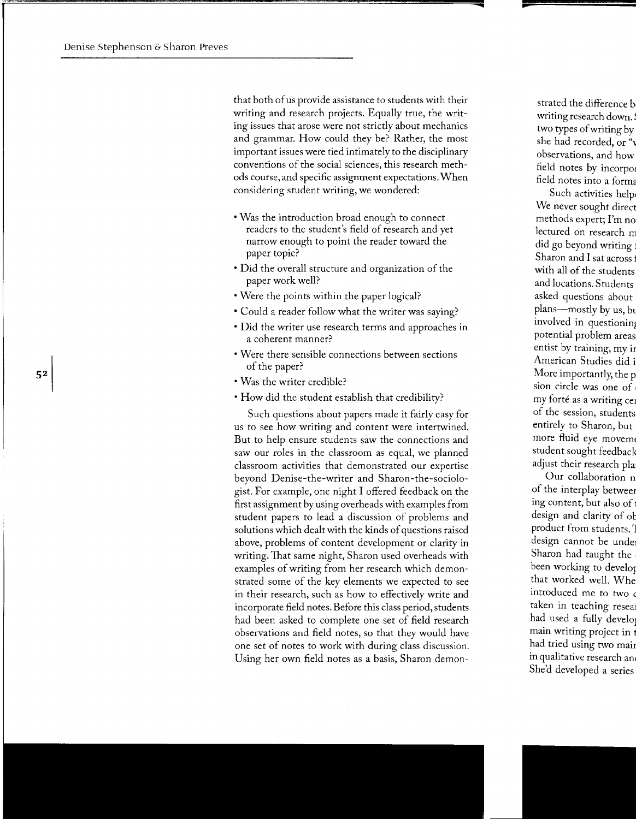that both of us provide assistance to students with their writing and research projects. Equally true, the writing issues that arose were not strictly about mechanics and grammar. How could they be? Rather, the most important issues were tied intimately to the disciplinary conventions of the social sciences, this research methods course, and specific assignment expectations. When considering student writing, we wondered:

- Was the introduction broad enough to connect readers to the student's field of research and yet narrow enough to point the reader toward the paper topic?
- Did the overall structure and organization of the paper work well?
- Were the points within the paper logical?
- Could a reader follow what the writer was saying?
- Did the writer use research terms and approaches in a coherent manner?
- Were there sensible connections between sections of the paper?
- Was the writer credible?
- How did the student establish that credibility?

Such questions about papers made it fairly easy for us to see how writing and content were intertwined. But to help ensure students saw the connections and saw our roles in the classroom as equal, we planned classroom activities that demonstrated our expertise beyond Denise-the-writer and Sharon-the-sociologist. For example, one night I offered feedback on the first assignment by using overheads with examples from student papers to lead a discussion of problems and solutions which dealt with the kinds of questions raised above, problems of content development or clarity in writing. That same night, Sharon used overheads with examples of writing from her research which demonstrated some of the key elements we expected to see in their research, such as how to effectively write and incorporate field notes. Before this class period, students had been asked to complete one set of field research observations and field notes, so that they would have one set of notes to work with during class discussion. Using her own field notes as a basis, Sharon demon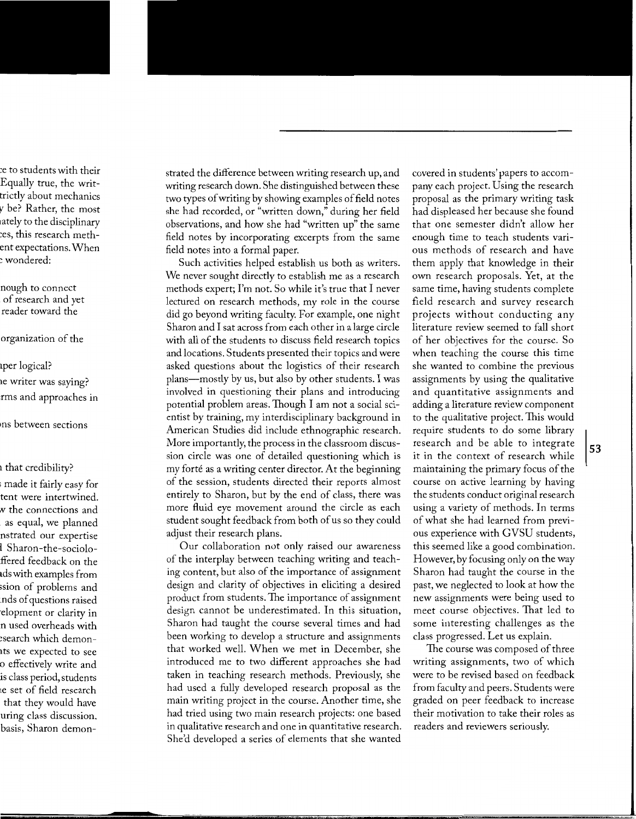strated the difference between writing research up, and writing research down. She distinguished between these two types of writing by showing examples of field notes she had recorded, or "written down," during her field observations, and how she had "written up" the same field notes by incorporating excerpts from the same field notes into a formal paper.

Such activities helped establish us both as writers. We never sought directly to establish me as a research methods expert; I'm not. So while it's true that I never lectured on research methods, my role in the course did go beyond writing faculty. For example, one night Sharon and I sat across from each other in a large circle with all of the students to discuss field research topics and locations. Students presented their topics and were asked questions about the logistics of their research plans--mostly by us, but also by other students. I was involved in questioning their plans and introducing potential problem areas. Though I am not a social scientist by training, my interdisciplinary background in American Studies did include ethnographic research. More importantly, the process in the classroom discussion circle was one of detailed questioning which is my forté as a writing center director. At the beginning of the session, students directed their reports almost entirely to Sharon, but by the end of class, there was more fluid eye movement around the circle as each student sought feedback from both of us so they could adjust their research plans.

Our collaboration not only raised our awareness of the interplay between teaching writing and teaching content, but also of the importance of assignment design and clarity of objectives in eliciting a desired product from students. The importance of assignment design cannot be underestimated. In this situation, Sharon had taught the course several times and had been working to develop a structure and assignments that worked well. When we met in December, she introduced me to two different approaches she had taken in teaching research methods. Previously, she had used a fully developed research proposal as the main writing project in the course. Another time, she had tried using two main research projects: one based in qualitative research and one in quantitative research. She'd developed a series of elements that she wanted

covered in students' papers to accompany each project. Using the research proposal as the primary writing task had displeased her because she found that one semester didn't allow her enough time to teach students various methods of research and have them apply that knowledge in their own research proposals. Yet, at the same time, having students complete field research and survey research projects without conducting any literature review seemed to fall short of her objectives for the course. So when teaching the course this time she wanted to combine the previous assignments by using the qualitative and quantitative assignments and adding a literature review component to the qualitative project. This would require students to do some library research and be able to integrate it in the context of research while maintaining the primary focus of the course on active learning by having the students conduct original research using a variety of methods. In terms of what she had learned from previous experience with GVSU students, this seemed like a good combination. However, by focusing only on the way Sharon had taught the course in the past, we neglected to look at how the new assignments were being used to meet course objectives. That led to some interesting challenges as the class progressed. Let us explain.

The course was composed of three writing assignments, two of which were to be revised based on feedback from faculty and peers. Students were graded on peer feedback to increase their motivation to take their roles as readers and reviewers seriously.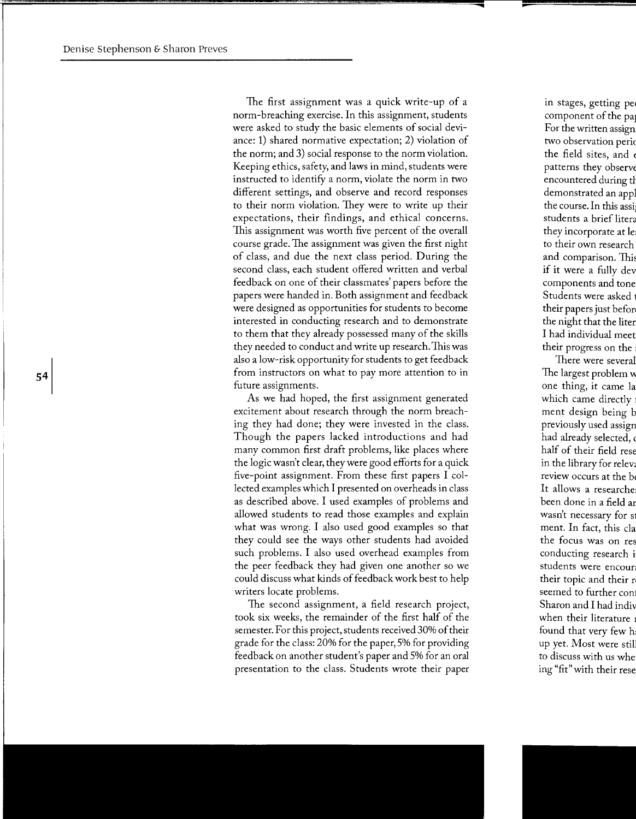The first assignment was a quick write-up of a norm-breaching exercise. In this assignment, students were asked to study the basic elements of social deviance: 1) shared normative expectation; 2) violation of the norm; and 3) social response to the norm violation. Keeping ethics, safety, and laws in mind, students were instructed to identify a norm, violate the norm in two different settings, and observe and record responses to their norm violation. They were to write up their expectations, their findings, and ethical concerns. This assignment was worth five percent of the overall course grade.The assignment was given the first night of class, and due the next class period. During the second class, each student offered written and verbal feedback on one of their classmates' papers before the papers were handed in. Both assignment and feedback were designed as opportunities for students to become interested in conducting research and to demonstrate to them that they already possessed many of the skills they needed to conduct and write up research. This was also a low-risk opportunity for students to get feedback from instructors on what to pay more attention to in future assignments.

As we had hoped, the first assignment generated excitement about research through the norm breaching they had done; they were invested in the class. Though the papers lacked introductions and had many common first draft problems, like places where the logic wasn't clear, they were good efforts for a quick five-point assignment. From these first papers I collected examples which I presented on overheads in class as described above. I used examples of problems and allowed students to read those examples and explain what was wrong. I also used good examples so that they could see the ways other students had avoided such problems. I also used overhead examples from the peer feedback they had given one another so we could discuss what kinds of feedback work best to help writers locate problems.

The second assignment, a field research project, took six weeks, the remainder of the first half of the semester. For this project, students received 30% of their grade for the class: 20% for the paper, 5% for providing feedback on another student's paper and 5% for an oral presentation to the class. Students wrote their paper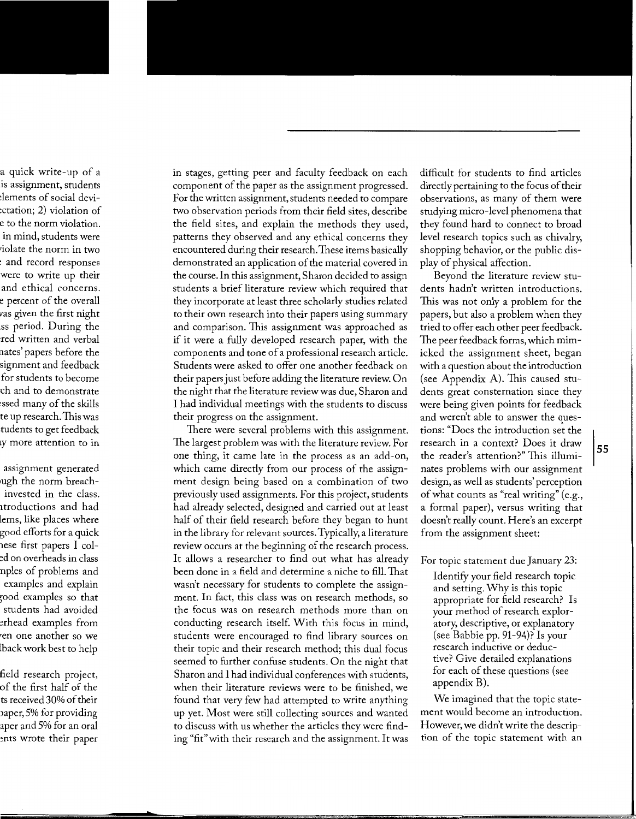in stages, getting peer and faculty feedback on each component of the paper as the assignment progressed. For the written assignment, students needed to compare two observation periods from their field sites, describe the field sites, and explain the methods they used, patterns they observed and any ethical concerns they encountered during their research. These items basically demonstrated an application of the material covered in the course. In this assignment, Sharon decided to assign students a brief literature review which required that they incorporate at least three scholarly studies related to their own research into their papers using summary and comparison. This assignment was approached as if it were a fully developed research paper, with the components and tone of a professional research article. Students were asked to offer one another feedback on their papers just before adding the literature review. On the night that the literature review was due, Sharon and I had individual meetings with the students to discuss their progress on the assignment.

There were several problems with this assignment. The largest problem was with the literature review. For one thing, it came late in the process as an add-on, which came directly from our process of the assignment design being based on a combination of two previously used assignments. For this project, students had already selected, designed and carried out at least half of their field research before they began to hunt in the library for relevant sources. Typically, a literature review occurs at the beginning of the research process. It allows a researcher to find out what has already been done in a field and determine a niche to fill. That wasn't necessary for students to complete the assignment. In fact, this class was on research methods, so the focus was on research methods more than on conducting research itsel£ With this focus in mind, students were encouraged to find library sources on their topic and their research method; this dual focus seemed to further confuse students. On the night that Sharon and I had individual conferences with students, when their literature reviews were to be finished, we found that very few had attempted to write anything up yet. Most were still collecting sources and wanted to discuss with us whether the articles they were finding "fit" with their research and the assignment. It was

difficult for students to find articles directly pertaining to the focus of their observations, as many of them were studying micro-level phenomena that they found hard to connect to broad level research topics such as chivalry, shopping behavior, or the public display of physical affection.

Beyond the literature review students hadn't written introductions. This was not only a problem for the papers, but also a problem when they tried to offer each other peer feedback. The peer feedback forms, which mimicked the assignment sheet, began with a question about the introduction (see Appendix A). This caused students great consternation since they were being given points for feedback and weren't able to answer the questions: "Does the introduction set the research in a context? Does it draw the reader's attention?" This illuminates problems with our assignment design, as well as students' perception of what counts as "real writing" (e.g., a formal paper), versus writing that doesn't really count. Here's an excerpt from the assignment sheet:

For topic statement due January 23:

IdentifY your field research topic and setting. Why is this topic appropriate for field research? Is your method of research exploratory, descriptive, or explanatory (see Babbie pp. 91-94)? Is your research inductive or deductive? Give detailed explanations for each of these questions (see appendix B).

We imagined that the topic statement would become an introduction. However, we didn't write the description of the topic statement with an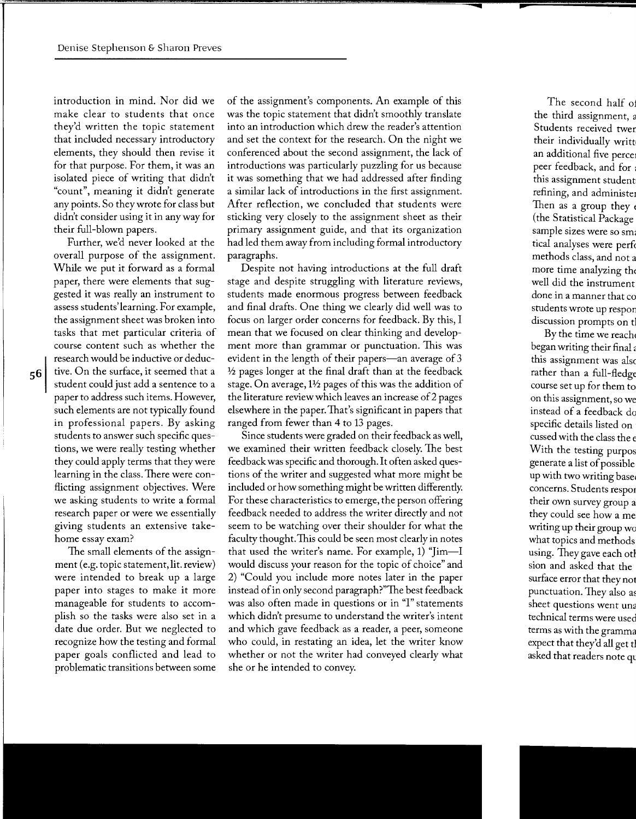introduction in mind. Nor did we make clear to students that once they'd written the topic statement that included necessary introductory elements, they should then revise it for that purpose. For them, it was an isolated piece of writing that didn't "count", meaning it didn't generate any points. So they wrote for class but didn't consider using it in any way for their full-blown papers.

Further, we'd never looked at the overall purpose of the assignment. While we put it forward as a formal paper, there were elements that suggested it was really an instrument to assess students' learning. For example, the assignment sheet was broken into tasks that met particular criteria of course content such as whether the research would be inductive or deductive. On the surface, it seemed that a student could just add a sentence to a paper to address such items. However, such elements are not typically found in professional papers. By asking students to answer such specific questions, we were really testing whether they could apply terms that they were learning in the class. There were conflicting assignment objectives. Were we asking students to write a formal research paper or were we essentially giving students an extensive takehome essay exam?

The small elements of the assignment (e.g. topic statement, lit. review) were intended to break up a large paper into stages to make it more manageable for students to accomplish so the tasks were also set in a date due order. But we neglected to recognize how the testing and formal paper goals conflicted and lead to problematic transitions between some of the assignment's components. An example of this was the topic statement that didn't smoothly translate into an introduction which drew the reader's attention and set the context for the research. On the night we conferenced about the second assignment, the lack of introductions was particularly puzzling for us because it was something that we had addressed after finding a similar lack of introductions in the first assignment. After reflection, we concluded that students were sticking very closely to the assignment sheet as their primary assignment guide, and that its organization had led them away from including formal introductory paragraphs.

Despite not having introductions at the full draft stage and despite struggling with literature reviews, students made enormous progress between feedback and final drafts. One thing we clearly did well was to focus on larger order concerns for feedback. By this, I mean that we focused on clear thinking and development more than grammar or punctuation. This was evident in the length of their papers—an average of 3  $1/2$  pages longer at the final draft than at the feedback stage. On average,  $1\frac{1}{2}$  pages of this was the addition of the literature review which leaves an increase of2 pages elsewhere in the paper. That's significant in papers that ranged from fewer than 4 to 13 pages.

Since students were graded on their feedback as well, we examined their written feedback closely. The best feedback was specific and thorough. It often asked questions of the writer and suggested what more might be included or how something might be written differently. For these characteristics to emerge, the person offering feedback needed to address the writer directly and not seem to be watching over their shoulder for what the faculty thought. This could be seen most clearly in notes that used the writer's name. For example, 1) "Jim-I would discuss your reason for the topic of choice" and 2) "Could you include more notes later in the paper instead of in only second paragraph?"The best feedback was also often made in questions or in "I" statements which didn't presume to understand the writer's intent and which gave feedback as a reader, a peer, someone who could, in restating an idea, let the writer know whether or not the writer had conveyed clearly what she or he intended to convey.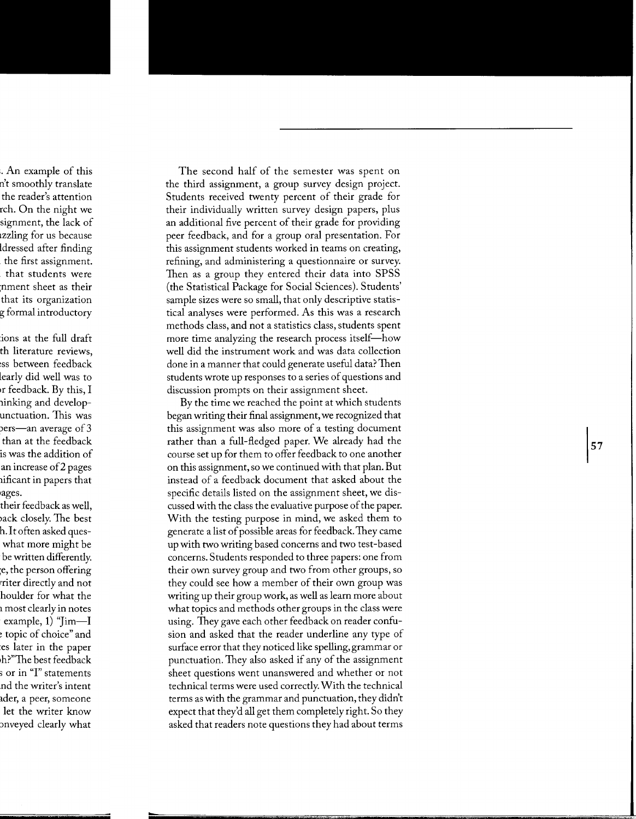The second half of the semester was spent on the third assignment, a group survey design project. Students received twenty percent of their grade for their individually written survey design papers, plus an additional five percent of their grade for providing peer feedback, and for a group oral presentation. For this assignment students worked in teams on creating, refining, and administering a questionnaire or survey. Then as a group they entered their data into SPSS (the Statistical Package for Social Sciences). Students' sample sizes were so small, that only descriptive statistical analyses were performed. As this was a research methods class, and not a statistics class, students spent more time analyzing the research process itself-how well did the instrument work and was data collection done in a manner that could generate useful data? Then students wrote up responses to a series of questions and discussion prompts on their assignment sheet.

By the time we reached the point at which students began writing their final assignment, we recognized that this assignment was also more of a testing document rather than a full-fledged paper. We already had the course set up for them to offer feedback to one another on this assignment, so we continued with that plan. But instead of a feedback document that asked about the specific details listed on the assignment sheet, we discussed with the class the evaluative purpose of the paper. With the testing purpose in mind, we asked them to generate a list of possible areas for feedback. They came up with two writing based concerns and two test-based concerns. Students responded to three papers: one from their own survey group and two from other groups, so they could see how a member of their own group was writing up their group work, as well as learn more about what topics and methods other groups in the class were using. They gave each other feedback on reader confusion and asked that the reader underline any type of surface error that they noticed like spelling, grammar or punctuation. They also asked if any of the assignment sheet questions went unanswered and whether or not technical terms were used correctly. With the technical terms as with the grammar and punctuation, they didn't expect that they'd all get them completely right. So they asked that readers note questions they had about terms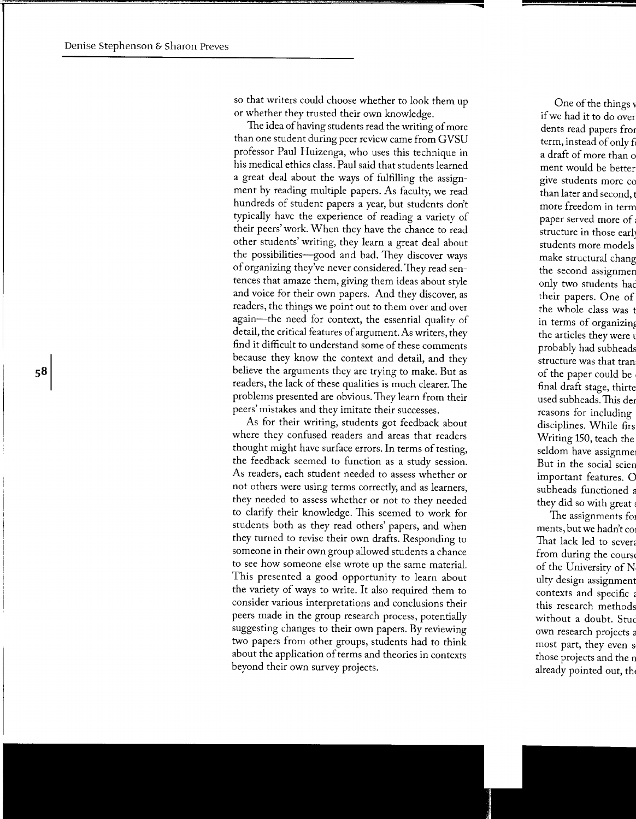so that writers could choose whether to look them up or whether they trusted their own knowledge.

The idea of having students read the writing of more than one student during peer review came from GVSU professor Paul Huizenga, who uses this technique in his medical ethics class. Paul said that students learned a great deal about the ways of fulfilling the assignment by reading multiple papers. As faculty, we read hundreds of student papers a year, but students don't typically have the experience of reading a variety of their peers' work. When they have the chance to read other students' writing, they learn a great deal about the possibilities-good and bad. They discover ways of organizing they've never considered. They read sentences that amaze them, giving them ideas about style and voice for their own papers. And they discover, as readers, the things we point out to them over and over again-the need for context, the essential quality of detail, the critical features of argument. As writers, they find it difficult to understand some of these comments because they know the context and detail, and they believe the arguments they are trying to make. But as readers, the lack of these qualities is much clearer. The problems presented are obvious. They learn from their peers' mistakes and they imitate their successes.

As for their writing, students got feedback about where they confused readers and areas that readers thought might have surface errors. In terms of testing, the feedback seemed to function as a study session. As readers, each student needed to assess whether or not others were using terms correctly, and as learners, they needed to assess whether or not to they needed to clarify their knowledge. This seemed to work for students both as they read others' papers, and when they turned to revise their own drafts. Responding to someone in their own group allowed students a chance to see how someone else wrote up the same material. This presented a good opportunity to learn about the variety of ways to write. It also required them to consider various interpretations and conclusions their peers made in the group research process, potentially suggesting changes to their own papers. By reviewing two papers from other groups, students had to think about the application of terms and theories in contexts beyond their own survey projects.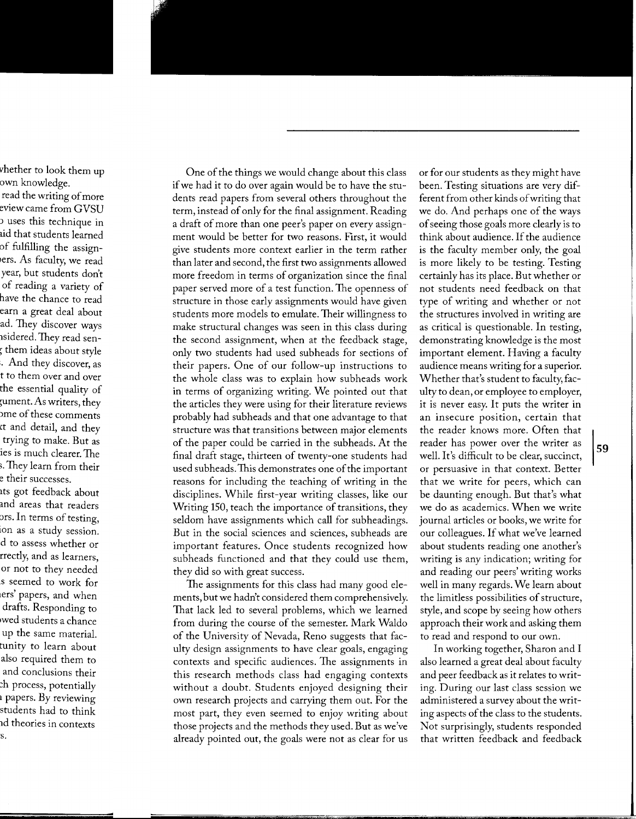One of the things we would change about this class if we had it to do over again would be to have the students read papers from several others throughout the term, instead of only for the final assignment. Reading a draft of more than one peer's paper on every assignment would be better for two reasons. First, it would give students more context earlier in the term rather than later and second, the first two assignments allowed more freedom in terms of organization since the final paper served more of a test function. The openness of structure in those early assignments would have given students more models to emulate. Their willingness to make structural changes was seen in this class during the second assignment, when at the feedback stage, only two students had used subheads for sections of their papers. One of our follow-up instructions to the whole class was to explain how subheads work in terms of organizing writing. We pointed out that the articles they were using for their literature reviews probably had subheads and that one advantage to that structure was that transitions between major elements of the paper could be carried in the subheads. At the final draft stage, thirteen of twenty-one students had used subheads.This demonstrates one of the important reasons for including the teaching of writing in the disciplines. While first-year writing classes, like our Writing 150, teach the importance of transitions, they seldom have assignments which call for subheadings. But in the social sciences and sciences, subheads are important features. Once students recognized how subheads functioned and that they could use them, they did so with great success .

The assignments for this class had many good elements, but we hadn't considered them comprehensively. That lack led to several problems, which we learned from during the course of the semester. Mark Waldo of the University of Nevada, Reno suggests that faculty design assignments to have clear goals, engaging contexts and specific audiences. The assignments in this research methods class had engaging contexts without a doubt. Students enjoyed designing their own research projects and carrying them out. For the most part, they even seemed to enjoy writing about those projects and the methods they used. But as we've already pointed out, the goals were not as clear for us

or for our students as they might have been. Testing situations are very different from other kinds of writing that we do. And perhaps one of the ways of seeing those goals more clearly is to think about audience. If the audience is the faculty member only, the goal is more likely to be testing. Testing certainly has its place. But whether or not students need feedback on that type of writing and whether or not the structures involved in writing are as critical is questionable. In testing, demonstrating knowledge is the most important element. Having a faculty audience means writing for a superior. Whether that's student to faculty, faculty to dean, or employee to employer, it is never easy. It puts the writer in an insecure position, certain that the reader knows more. Often that reader has power over the writer as well. It's difficult to be clear, succinct, or persuasive in that context. Better that we write for peers, which can be daunting enough. But that's what we do as academics. When we write journal articles or books, we write for our colleagues. If what we've learned about students reading one another's writing is any indication; writing for and reading our peers' writing works well in many regards. We learn about the limitless possibilities of structure, style, and scope by seeing how others approach their work and asking them to read and respond to our own.

In working together, Sharon and I also learned a great deal about faculty and peer feedback as it relates to writing. During our last class session we administered a survey about the writing aspects of the class to the students. Not surprisingly, students responded that written feedback and feedback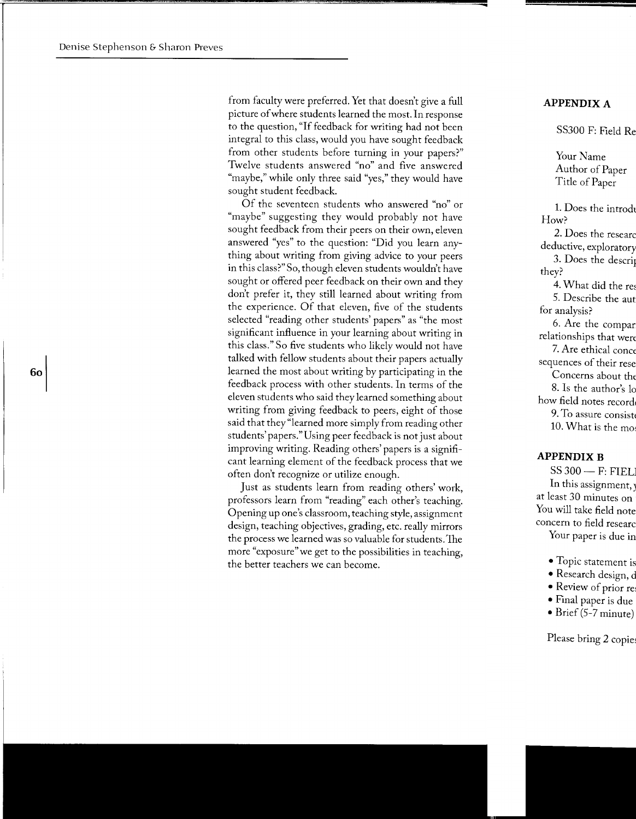from faculty were preferred. Yet that doesn't give a full picture of where students learned the most. In response to the question, "If feedback for writing had not been integral to this class, would you have sought feedback from other students before turning in your papers?" Twelve students answered "no" and five answered "maybe," while only three said "yes," they would have sought student feedback.

Of the seventeen students who answered "no" or "maybe" suggesting they would probably not have sought feedback from their peers on their own, eleven answered "yes" to the question: "Did you learn anything about writing from giving advice to your peers in this class?" So, though eleven students wouldn't have sought or offered peer feedback on their own and they don't prefer it, they still learned about writing from the experience. Of that eleven, five of the students selected "reading other students' papers" as "the most significant influence in your learning about writing in this class." So five students who likely would not have talked with fellow students about their papers actually learned the most about writing by participating in the feedback process with other students. In terms of the eleven students who said they learned something about writing from giving feedback to peers, eight of those said that they "learned more simply from reading other students' papers."Using peer feedback is not just about improving writing. Reading others' papers is a significant learning element of the feedback process that we often don't recognize or utilize enough.

Just as students learn from reading others' work, professors learn from "reading" each other's teaching. Opening up one's classroom, teaching style, assignment design, teaching objectives, grading, etc. really mirrors the process we learned was so valuable for students.The more "exposure" we get to the possibilities in teaching, the better teachers we can become.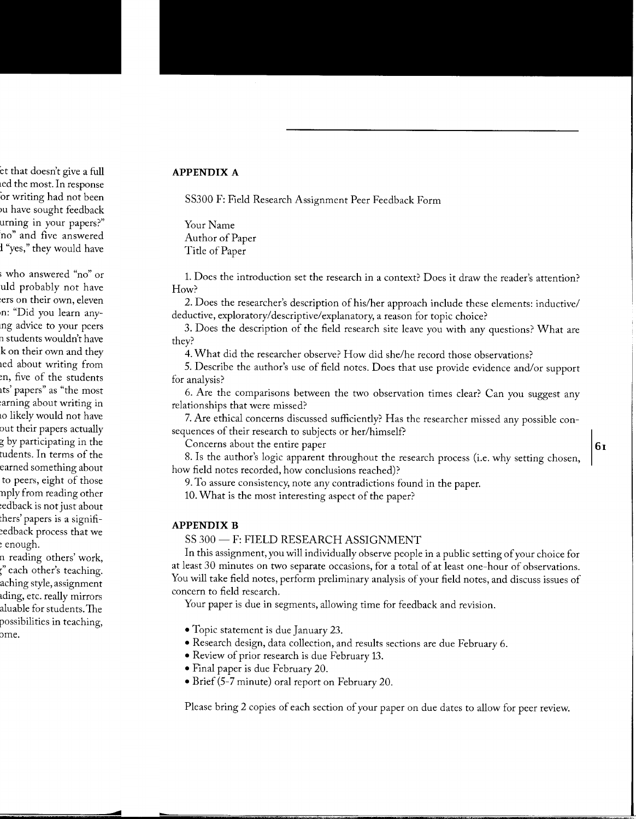#### **APPENDIX A**

SS300 F: Field Research Assignment Peer Feedback Form

Your Name Author of Paper Title of Paper

1. Does the introduction set the research in a context? Does it draw the reader's attention? How?

2. Does the researcher's description of his/her approach include these elements: inductive/ deductive, exploratory/descriptive/explanatory, a reason for topic choice?

3. Does the description of the field research site leave you with any questions? What are they?

4. What did the researcher observe? How did she/he record those observations?

5. Describe the author's use of field notes. Does that use provide evidence and/or support for analysis?

6. Are the comparisons between the two observation times clear? Can you suggest any relationships that were missed?

7. Are ethical concerns discussed sufficiently? Has the researcher missed any possible consequences of their research to subjects or her/himself?

Concerns about the entire paper **leading the entire paper leading the entire paper leading the entire paper leading the entire paper leading the entire paper leading the entire paper leading the entire paper**

8. Is the author's logic apparent throughout the research process (i.e. why setting chosen, how field notes recorded, how conclusions reached)?

9. To assure consistency, note any contradictions found in the paper.

10. What is the most interesting aspect of the paper?

#### **APPENDIX B**

SS 300 - F: FIELD RESEARCH ASSIGNMENT

In this assignment, you will individually observe people in a public setting of your choice for at least 30 minutes on two separate occasions, for a total of at least one-hour of observations. You will take field notes, perform preliminary analysis of your field notes, and discuss issues of concern to field research.

Your paper is due in segments, allowing time for feedback and revision.

- Topic statement is due January 23.
- Research design, data collection, and results sections are due February 6.
- Review of prior research is due February 13.
- Final paper is due February 20.
- Brief (5-7 minute) oral report on February 20.

Please bring 2 copies of each section of your paper on due dates to allow for peer review.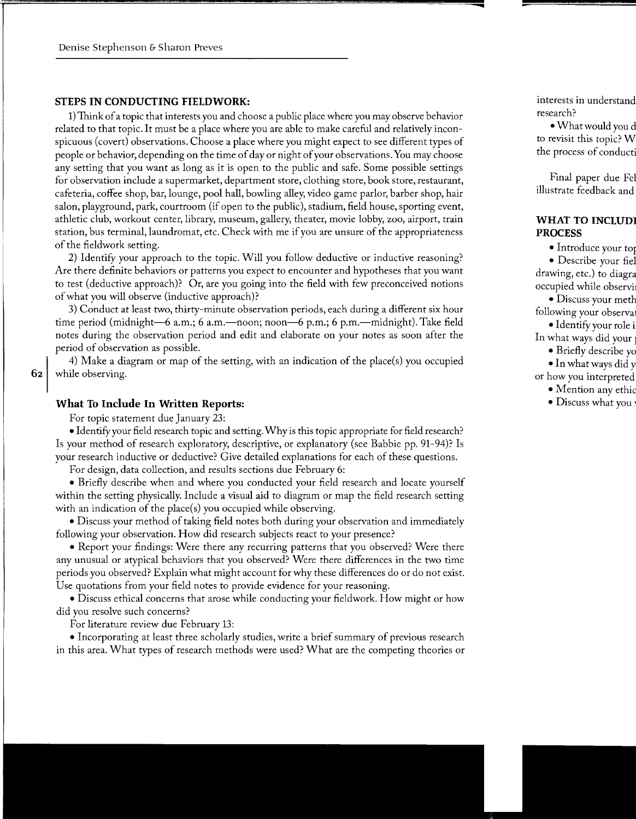#### **STEPS IN CONDUCTING FIELDWORK:**

1) Think of a topic that interests you and choose a public place where you may observe behavior related to that topic. It must be a place where you are able to make careful and relatively inconspicuous (covert) observations. Choose a place where you might expect to see different types of people or behavior, depending on the time of day or night of your observations. You may choose any setting that you want as long as it is open to the public and safe. Some possible settings for observation include a supermarket, department store, clothing store, book store, restaurant, cafeteria, coffee shop, bar, lounge, pool hall, bowling alley, video game parlor, barber shop, hair salon, playground, park, courtroom (if open to the public), stadium, field house, sporting event, athletic club, workout center, library, museum, gallery, theater, movie lobby, zoo, airport, train station, bus terminal, laundromat, etc. Check with me if you are unsure of the appropriateness of the fieldwork setting.

2) Identify your approach to the topic. Will you follow deductive or inductive reasoning? Are there definite behaviors or patterns you expect to encounter and hypotheses that you want to test (deductive approach)? Or, are you going into the field with few preconceived notions of what you will observe (inductive approach)?

3) Conduct at least two, thirty-minute observation periods, each during a different six hour time period (midnight-6 a.m.; 6 a.m.-noon; noon-6 p.m.; 6 p.m.-midnight). Take field notes during the observation period and edit and elaborate on your notes as soon after the period of observation as possible.

4) Make a diagram or map of the setting, with an indication of the place(s) you occupied **62** while observing.

#### **What To Include In Written Reports:**

For topic statement due January 23:

• Identify your field research topic and setting. Why is this topic appropriate for field research? Is your method of research exploratory, descriptive, or explanatory (see Babbie pp. 91-94)? Is your research inductive or deductive? Give detailed explanations for each of these questions.

For design, data collection, and results sections due February 6:

• Briefly describe when and where you conducted your field research and locate yourself within the setting physically. Include a visual aid to diagram or map the field research setting with an indication of the place(s) you occupied while observing.

• Discuss your method of taking field notes both during your observation and immediately following your observation. How did research subjects react to your presence?

• Report your findings: Were there any recurring patterns that you observed? Were there any unusual or atypical behaviors that you observed? Were there differences in the two time periods you observed? Explain what might account for why these differences do or do not exist. Use quotations from your field notes to provide evidence for your reasoning.

• Discuss ethical concerns that arose while conducting your fieldwork. How might or how did you resolve such concerns?

For literature review due February 13:

• Incorporating at least three scholarly studies, write a brief summary of previous research in this area. What types of research methods were used? What are the competing theories or